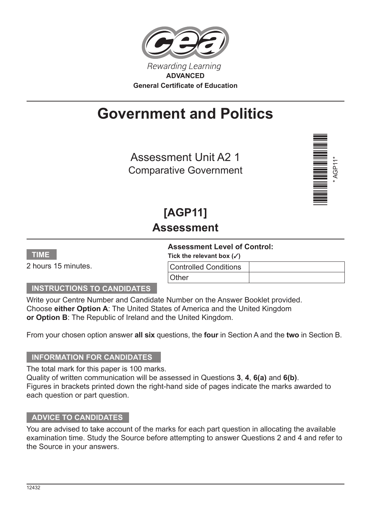

# **Government and Politics**

Assessment Unit A2 1 Comparative Government



## **[AGP11] Assessment**

#### **Assessment Level of Control:**

**Tick the relevant box (**3**)**

|  | 2 hours 15 minutes. |
|--|---------------------|
|  |                     |

**TIME**

| $1.1$ , $1.1$ , $1.1$ , $1.1$ , $1.1$ , $1.1$ , $1.1$ |  |  |  |  |
|-------------------------------------------------------|--|--|--|--|
| <b>Controlled Conditions</b>                          |  |  |  |  |
| <b>Other</b>                                          |  |  |  |  |

## **INSTRUCTIONS TO CANDIDATES**

Write your Centre Number and Candidate Number on the Answer Booklet provided. Choose **either Option A**: The United States of America and the United Kingdom **or Option B**: The Republic of Ireland and the United Kingdom.

From your chosen option answer **all six** questions, the **four** in Section A and the **two** in Section B.

#### **INFORMATION FOR CANDIDATES**

The total mark for this paper is 100 marks. Quality of written communication will be assessed in Questions **3**, **4**, **6(a)** and **6(b)**. Figures in brackets printed down the right-hand side of pages indicate the marks awarded to each question or part question.

#### **ADVICE TO CANDIDATES**

You are advised to take account of the marks for each part question in allocating the available examination time. Study the Source before attempting to answer Questions 2 and 4 and refer to the Source in your answers.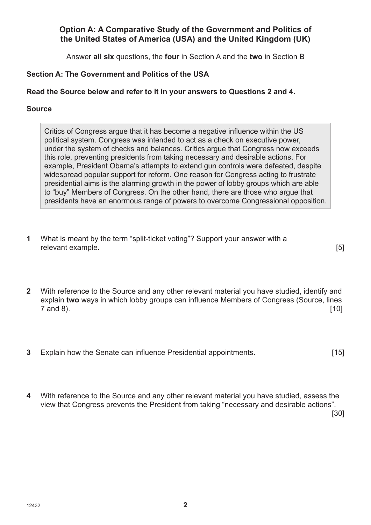## **Option A: A Comparative Study of the Government and Politics of the United States of America (USA) and the United Kingdom (UK)**

Answer **all six** questions, the **four** in Section A and the **two** in Section B

## **Section A: The Government and Politics of the USA**

## **Read the Source below and refer to it in your answers to Questions 2 and 4.**

## **Source**

Critics of Congress argue that it has become a negative influence within the US political system. Congress was intended to act as a check on executive power, under the system of checks and balances. Critics argue that Congress now exceeds this role, preventing presidents from taking necessary and desirable actions. For example, President Obama's attempts to extend gun controls were defeated, despite widespread popular support for reform. One reason for Congress acting to frustrate presidential aims is the alarming growth in the power of lobby groups which are able to "buy" Members of Congress. On the other hand, there are those who argue that presidents have an enormous range of powers to overcome Congressional opposition.

**1** What is meant by the term "split-ticket voting"? Support your answer with a relevant example. [5]

- **2** With reference to the Source and any other relevant material you have studied, identify and explain **two** ways in which lobby groups can influence Members of Congress (Source, lines  $7$  and 8). [10]
- **3** Explain how the Senate can influence Presidential appointments. **[15]**
- **4** With reference to the Source and any other relevant material you have studied, assess the view that Congress prevents the President from taking "necessary and desirable actions". [30]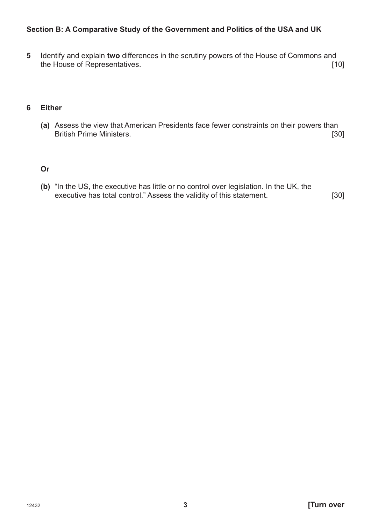### **Section B: A Comparative Study of the Government and Politics of the USA and UK**

**5** Identify and explain **two** differences in the scrutiny powers of the House of Commons and the House of Representatives. [10]

#### **6 Either**

**(a)** Assess the view that American Presidents face fewer constraints on their powers than British Prime Ministers.

#### **Or**

**(b)** "In the US, the executive has little or no control over legislation. In the UK, the executive has total control." Assess the validity of this statement. [30]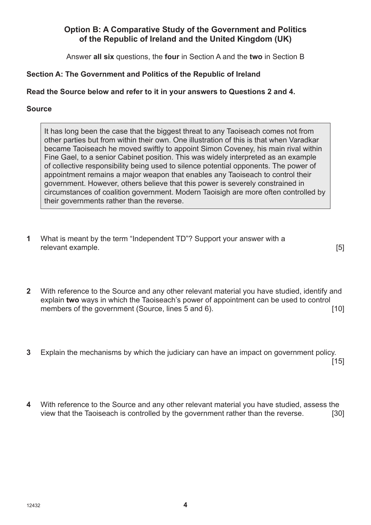## **Option B: A Comparative Study of the Government and Politics of the Republic of Ireland and the United Kingdom (UK)**

Answer **all six** questions, the **four** in Section A and the **two** in Section B

## **Section A: The Government and Politics of the Republic of Ireland**

## **Read the Source below and refer to it in your answers to Questions 2 and 4.**

## **Source**

It has long been the case that the biggest threat to any Taoiseach comes not from other parties but from within their own. One illustration of this is that when Varadkar became Taoiseach he moved swiftly to appoint Simon Coveney, his main rival within Fine Gael, to a senior Cabinet position. This was widely interpreted as an example of collective responsibility being used to silence potential opponents. The power of appointment remains a major weapon that enables any Taoiseach to control their government. However, others believe that this power is severely constrained in circumstances of coalition government. Modern Taoisigh are more often controlled by their governments rather than the reverse.

**1** What is meant by the term "Independent TD"? Support your answer with a relevant example. [5]

- **2** With reference to the Source and any other relevant material you have studied, identify and explain **two** ways in which the Taoiseach's power of appointment can be used to control members of the government (Source, lines 5 and 6). [10]
- **3** Explain the mechanisms by which the judiciary can have an impact on government policy. . In the case of the contract of the contract of  $[15]$
- **4** With reference to the Source and any other relevant material you have studied, assess the view that the Taoiseach is controlled by the government rather than the reverse. [30]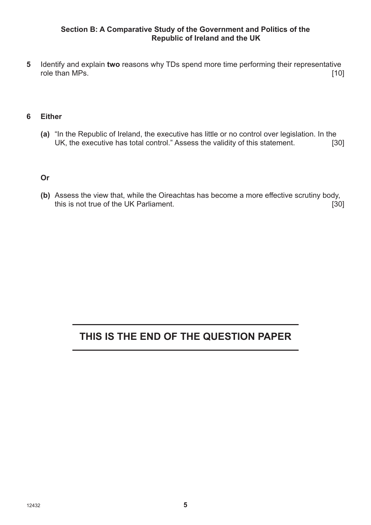#### **Section B: A Comparative Study of the Government and Politics of the Republic of Ireland and the UK**

**5** Identify and explain **two** reasons why TDs spend more time performing their representative role than MPs. [10]

#### **6 Either**

**(a)** "In the Republic of Ireland, the executive has little or no control over legislation. In the UK, the executive has total control." Assess the validity of this statement. [30]

#### **Or**

**(b)** Assess the view that, while the Oireachtas has become a more effective scrutiny body, this is not true of the UK Parliament. *[30]* [30]

## **THIS IS THE END OF THE QUESTION PAPER**